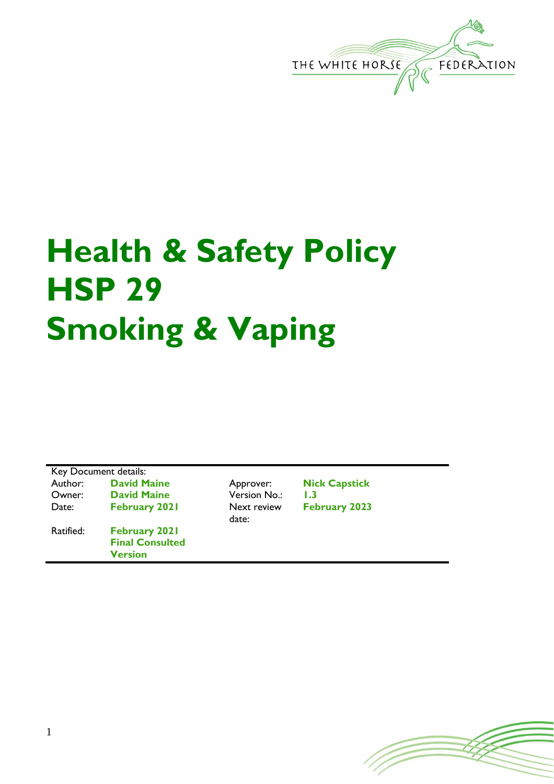

## **Health & Safety Policy HSP 29 Smoking & Vaping**

Key Document details: Author: **David Maine Approver: Nick Capstick**<br> **C**wner: **David Maine Approver: No.: 1.3** David Maine **Version No.:** 1.3 Date: February 2021 Next review date: **February 2023** Ratified: **February 2021 Final Consulted Version**

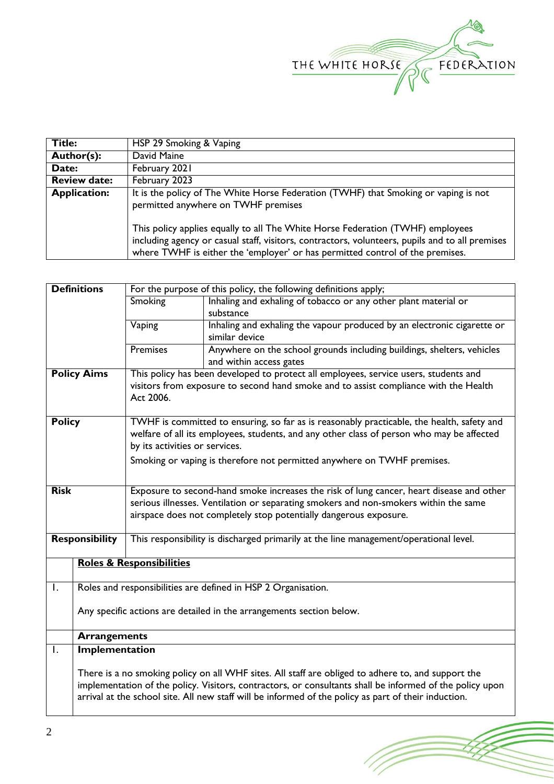

(FF)

| <b>Title:</b>       | HSP 29 Smoking & Vaping                                                                                                                                                                                                                                            |  |  |
|---------------------|--------------------------------------------------------------------------------------------------------------------------------------------------------------------------------------------------------------------------------------------------------------------|--|--|
| Author(s):          | David Maine                                                                                                                                                                                                                                                        |  |  |
| Date:               | February 2021                                                                                                                                                                                                                                                      |  |  |
| <b>Review date:</b> | February 2023                                                                                                                                                                                                                                                      |  |  |
| <b>Application:</b> | It is the policy of The White Horse Federation (TWHF) that Smoking or vaping is not<br>permitted anywhere on TWHF premises                                                                                                                                         |  |  |
|                     | This policy applies equally to all The White Horse Federation (TWHF) employees<br>including agency or casual staff, visitors, contractors, volunteers, pupils and to all premises<br>where TWHF is either the 'employer' or has permitted control of the premises. |  |  |

|                       | <b>Definitions</b><br>For the purpose of this policy, the following definitions apply;                   |                                                                                                                                                                                         |                                                                                                    |  |  |  |
|-----------------------|----------------------------------------------------------------------------------------------------------|-----------------------------------------------------------------------------------------------------------------------------------------------------------------------------------------|----------------------------------------------------------------------------------------------------|--|--|--|
|                       |                                                                                                          | Smoking                                                                                                                                                                                 | Inhaling and exhaling of tobacco or any other plant material or                                    |  |  |  |
|                       |                                                                                                          |                                                                                                                                                                                         | substance                                                                                          |  |  |  |
|                       |                                                                                                          | Vaping                                                                                                                                                                                  | Inhaling and exhaling the vapour produced by an electronic cigarette or                            |  |  |  |
|                       |                                                                                                          |                                                                                                                                                                                         | similar device                                                                                     |  |  |  |
|                       |                                                                                                          | <b>Premises</b>                                                                                                                                                                         | Anywhere on the school grounds including buildings, shelters, vehicles                             |  |  |  |
|                       |                                                                                                          |                                                                                                                                                                                         | and within access gates                                                                            |  |  |  |
| <b>Policy Aims</b>    |                                                                                                          | This policy has been developed to protect all employees, service users, students and                                                                                                    |                                                                                                    |  |  |  |
|                       |                                                                                                          | visitors from exposure to second hand smoke and to assist compliance with the Health                                                                                                    |                                                                                                    |  |  |  |
|                       |                                                                                                          | Act 2006.                                                                                                                                                                               |                                                                                                    |  |  |  |
| <b>Policy</b>         |                                                                                                          |                                                                                                                                                                                         |                                                                                                    |  |  |  |
|                       |                                                                                                          | TWHF is committed to ensuring, so far as is reasonably practicable, the health, safety and<br>welfare of all its employees, students, and any other class of person who may be affected |                                                                                                    |  |  |  |
|                       |                                                                                                          | by its activities or services.                                                                                                                                                          |                                                                                                    |  |  |  |
|                       |                                                                                                          |                                                                                                                                                                                         |                                                                                                    |  |  |  |
|                       |                                                                                                          | Smoking or vaping is therefore not permitted anywhere on TWHF premises.                                                                                                                 |                                                                                                    |  |  |  |
|                       |                                                                                                          |                                                                                                                                                                                         |                                                                                                    |  |  |  |
| <b>Risk</b>           |                                                                                                          | Exposure to second-hand smoke increases the risk of lung cancer, heart disease and other                                                                                                |                                                                                                    |  |  |  |
|                       |                                                                                                          | serious illnesses. Ventilation or separating smokers and non-smokers within the same                                                                                                    |                                                                                                    |  |  |  |
|                       |                                                                                                          | airspace does not completely stop potentially dangerous exposure.                                                                                                                       |                                                                                                    |  |  |  |
| <b>Responsibility</b> |                                                                                                          |                                                                                                                                                                                         |                                                                                                    |  |  |  |
|                       |                                                                                                          | This responsibility is discharged primarily at the line management/operational level.                                                                                                   |                                                                                                    |  |  |  |
|                       |                                                                                                          | <b>Roles &amp; Responsibilities</b>                                                                                                                                                     |                                                                                                    |  |  |  |
|                       |                                                                                                          |                                                                                                                                                                                         |                                                                                                    |  |  |  |
| $\mathsf{I}$ .        |                                                                                                          |                                                                                                                                                                                         | Roles and responsibilities are defined in HSP 2 Organisation.                                      |  |  |  |
|                       |                                                                                                          |                                                                                                                                                                                         |                                                                                                    |  |  |  |
|                       | Any specific actions are detailed in the arrangements section below.                                     |                                                                                                                                                                                         |                                                                                                    |  |  |  |
|                       | <b>Arrangements</b>                                                                                      |                                                                                                                                                                                         |                                                                                                    |  |  |  |
| $\mathsf{L}$          | <b>Implementation</b>                                                                                    |                                                                                                                                                                                         |                                                                                                    |  |  |  |
|                       |                                                                                                          |                                                                                                                                                                                         |                                                                                                    |  |  |  |
|                       |                                                                                                          |                                                                                                                                                                                         | There is a no smoking policy on all WHF sites. All staff are obliged to adhere to, and support the |  |  |  |
|                       | implementation of the policy. Visitors, contractors, or consultants shall be informed of the policy upon |                                                                                                                                                                                         |                                                                                                    |  |  |  |
|                       | arrival at the school site. All new staff will be informed of the policy as part of their induction.     |                                                                                                                                                                                         |                                                                                                    |  |  |  |
|                       |                                                                                                          |                                                                                                                                                                                         |                                                                                                    |  |  |  |